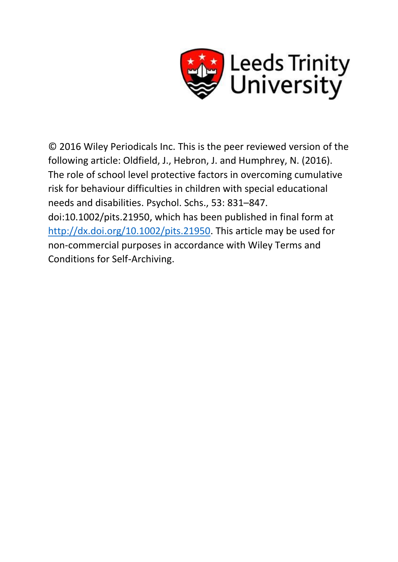

© 2016 Wiley Periodicals Inc. This is the peer reviewed version of the following article: Oldfield, J., Hebron, J. and Humphrey, N. (2016). The role of school level protective factors in overcoming cumulative risk for behaviour difficulties in children with special educational needs and disabilities. Psychol. Schs., 53: 831–847. doi:10.1002/pits.21950, which has been published in final form at [http://dx.doi.org/10.1002/pits.21950.](http://dx.doi.org/10.1002/pits.21950) This article may be used for non-commercial purposes in accordance with Wiley Terms and Conditions for Self-Archiving.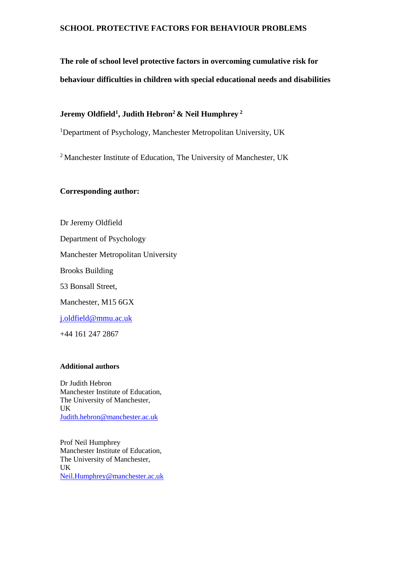# **The role of school level protective factors in overcoming cumulative risk for behaviour difficulties in children with special educational needs and disabilities**

# **Jeremy Oldfield<sup>1</sup> , Judith Hebron<sup>2</sup>& Neil Humphrey <sup>2</sup>**

<sup>1</sup>Department of Psychology, Manchester Metropolitan University, UK

<sup>2</sup> Manchester Institute of Education, The University of Manchester, UK

# **Corresponding author:**

Dr Jeremy Oldfield Department of Psychology Manchester Metropolitan University Brooks Building 53 Bonsall Street, Manchester, M15 6GX [j.oldfield@mmu.ac.uk](mailto:j.oldfield@mmu.ac.uk) +44 161 247 2867

# **Additional authors**

Dr Judith Hebron Manchester Institute of Education, The University of Manchester, UK [Judith.hebron@manchester.ac.uk](mailto:Judith.hebron@manchester.ac.uk)

Prof Neil Humphrey Manchester Institute of Education, The University of Manchester, UK [Neil.Humphrey@manchester.ac.uk](mailto:Neil.Humphrey@manchester.ac.uk)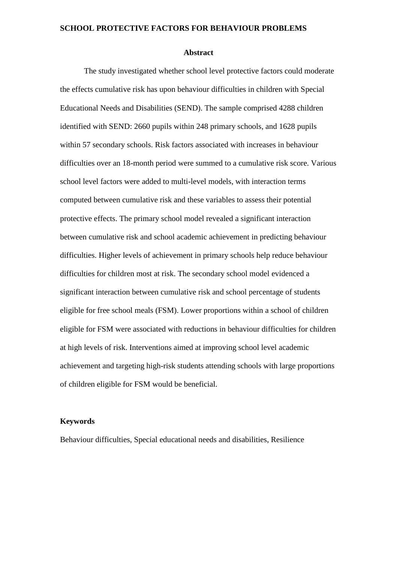#### **Abstract**

The study investigated whether school level protective factors could moderate the effects cumulative risk has upon behaviour difficulties in children with Special Educational Needs and Disabilities (SEND). The sample comprised 4288 children identified with SEND: 2660 pupils within 248 primary schools, and 1628 pupils within 57 secondary schools. Risk factors associated with increases in behaviour difficulties over an 18-month period were summed to a cumulative risk score. Various school level factors were added to multi-level models, with interaction terms computed between cumulative risk and these variables to assess their potential protective effects. The primary school model revealed a significant interaction between cumulative risk and school academic achievement in predicting behaviour difficulties. Higher levels of achievement in primary schools help reduce behaviour difficulties for children most at risk. The secondary school model evidenced a significant interaction between cumulative risk and school percentage of students eligible for free school meals (FSM). Lower proportions within a school of children eligible for FSM were associated with reductions in behaviour difficulties for children at high levels of risk. Interventions aimed at improving school level academic achievement and targeting high-risk students attending schools with large proportions of children eligible for FSM would be beneficial.

# **Keywords**

Behaviour difficulties, Special educational needs and disabilities, Resilience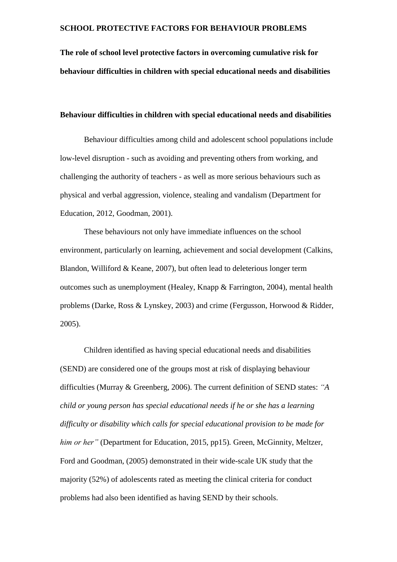**The role of school level protective factors in overcoming cumulative risk for behaviour difficulties in children with special educational needs and disabilities**

# **Behaviour difficulties in children with special educational needs and disabilities**

Behaviour difficulties among child and adolescent school populations include low-level disruption - such as avoiding and preventing others from working, and challenging the authority of teachers - as well as more serious behaviours such as physical and verbal aggression, violence, stealing and vandalism (Department for Education, 2012, Goodman, 2001).

These behaviours not only have immediate influences on the school environment, particularly on learning, achievement and social development (Calkins, Blandon, Williford & Keane, 2007), but often lead to deleterious longer term outcomes such as unemployment (Healey, Knapp & Farrington, 2004), mental health problems (Darke, Ross & Lynskey, 2003) and crime (Fergusson, Horwood & Ridder, 2005).

Children identified as having special educational needs and disabilities (SEND) are considered one of the groups most at risk of displaying behaviour difficulties (Murray & Greenberg, 2006). The current definition of SEND states: *"A child or young person has special educational needs if he or she has a learning difficulty or disability which calls for special educational provision to be made for him or her"* (Department for Education, 2015, pp15)*.* Green, McGinnity, Meltzer, Ford and Goodman, (2005) demonstrated in their wide-scale UK study that the majority (52%) of adolescents rated as meeting the clinical criteria for conduct problems had also been identified as having SEND by their schools.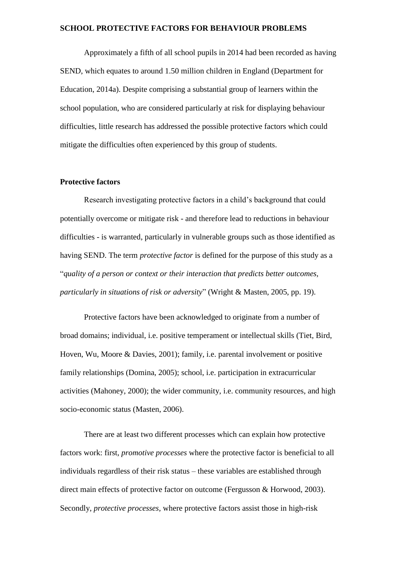Approximately a fifth of all school pupils in 2014 had been recorded as having SEND, which equates to around 1.50 million children in England (Department for Education, 2014a). Despite comprising a substantial group of learners within the school population, who are considered particularly at risk for displaying behaviour difficulties, little research has addressed the possible protective factors which could mitigate the difficulties often experienced by this group of students.

#### **Protective factors**

Research investigating protective factors in a child's background that could potentially overcome or mitigate risk - and therefore lead to reductions in behaviour difficulties - is warranted, particularly in vulnerable groups such as those identified as having SEND. The term *protective factor* is defined for the purpose of this study as a "*quality of a person or context or their interaction that predicts better outcomes, particularly in situations of risk or adversity*" (Wright & Masten, 2005, pp. 19).

Protective factors have been acknowledged to originate from a number of broad domains; individual, i.e. positive temperament or intellectual skills (Tiet, Bird, Hoven, Wu, Moore & Davies, 2001); family, i.e. parental involvement or positive family relationships (Domina, 2005); school, i.e. participation in extracurricular activities (Mahoney, 2000); the wider community, i.e. community resources, and high socio-economic status (Masten, 2006).

There are at least two different processes which can explain how protective factors work: first, *promotive processes* where the protective factor is beneficial to all individuals regardless of their risk status – these variables are established through direct main effects of protective factor on outcome (Fergusson & Horwood, 2003). Secondly, *protective processes,* where protective factors assist those in high-risk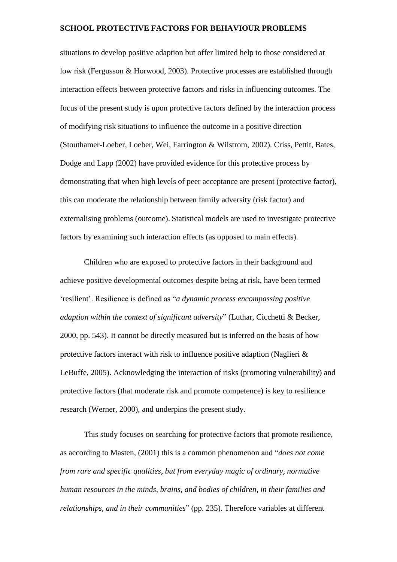situations to develop positive adaption but offer limited help to those considered at low risk (Fergusson & Horwood, 2003). Protective processes are established through interaction effects between protective factors and risks in influencing outcomes. The focus of the present study is upon protective factors defined by the interaction process of modifying risk situations to influence the outcome in a positive direction (Stouthamer-Loeber, Loeber, Wei, Farrington & Wilstrom, 2002). Criss, Pettit, Bates, Dodge and Lapp (2002) have provided evidence for this protective process by demonstrating that when high levels of peer acceptance are present (protective factor), this can moderate the relationship between family adversity (risk factor) and externalising problems (outcome). Statistical models are used to investigate protective factors by examining such interaction effects (as opposed to main effects).

Children who are exposed to protective factors in their background and achieve positive developmental outcomes despite being at risk, have been termed 'resilient'. Resilience is defined as "*a dynamic process encompassing positive adaption within the context of significant adversity*" (Luthar, Cicchetti & Becker, 2000, pp. 543). It cannot be directly measured but is inferred on the basis of how protective factors interact with risk to influence positive adaption (Naglieri & LeBuffe, 2005). Acknowledging the interaction of risks (promoting vulnerability) and protective factors (that moderate risk and promote competence) is key to resilience research (Werner, 2000), and underpins the present study.

This study focuses on searching for protective factors that promote resilience, as according to Masten, (2001) this is a common phenomenon and "*does not come from rare and specific qualities, but from everyday magic of ordinary, normative human resources in the minds, brains, and bodies of children, in their families and relationships, and in their communities*" (pp. 235). Therefore variables at different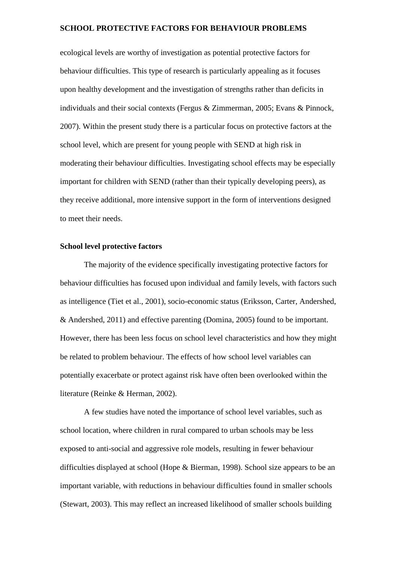ecological levels are worthy of investigation as potential protective factors for behaviour difficulties. This type of research is particularly appealing as it focuses upon healthy development and the investigation of strengths rather than deficits in individuals and their social contexts (Fergus & Zimmerman, 2005; Evans & Pinnock, 2007). Within the present study there is a particular focus on protective factors at the school level, which are present for young people with SEND at high risk in moderating their behaviour difficulties. Investigating school effects may be especially important for children with SEND (rather than their typically developing peers), as they receive additional, more intensive support in the form of interventions designed to meet their needs.

# **School level protective factors**

The majority of the evidence specifically investigating protective factors for behaviour difficulties has focused upon individual and family levels, with factors such as intelligence (Tiet et al., 2001), socio-economic status (Eriksson, Carter, Andershed, & Andershed, 2011) and effective parenting (Domina, 2005) found to be important. However, there has been less focus on school level characteristics and how they might be related to problem behaviour. The effects of how school level variables can potentially exacerbate or protect against risk have often been overlooked within the literature (Reinke & Herman, 2002).

A few studies have noted the importance of school level variables, such as school location, where children in rural compared to urban schools may be less exposed to anti-social and aggressive role models, resulting in fewer behaviour difficulties displayed at school (Hope & Bierman, 1998). School size appears to be an important variable, with reductions in behaviour difficulties found in smaller schools (Stewart, 2003). This may reflect an increased likelihood of smaller schools building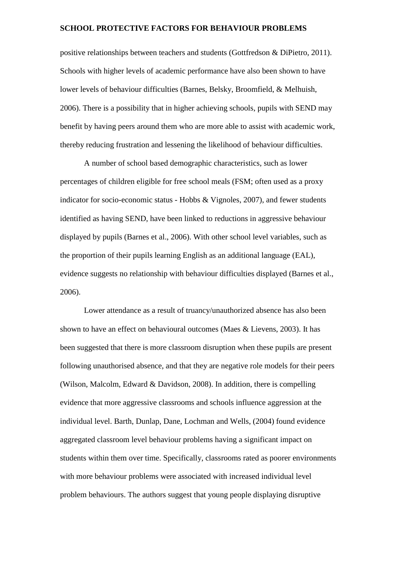positive relationships between teachers and students (Gottfredson & DiPietro, 2011). Schools with higher levels of academic performance have also been shown to have lower levels of behaviour difficulties (Barnes, Belsky, Broomfield, & Melhuish, 2006). There is a possibility that in higher achieving schools, pupils with SEND may benefit by having peers around them who are more able to assist with academic work, thereby reducing frustration and lessening the likelihood of behaviour difficulties.

A number of school based demographic characteristics, such as lower percentages of children eligible for free school meals (FSM; often used as a proxy indicator for socio-economic status - Hobbs & Vignoles, 2007), and fewer students identified as having SEND, have been linked to reductions in aggressive behaviour displayed by pupils (Barnes et al., 2006). With other school level variables, such as the proportion of their pupils learning English as an additional language (EAL), evidence suggests no relationship with behaviour difficulties displayed (Barnes et al., 2006).

Lower attendance as a result of truancy/unauthorized absence has also been shown to have an effect on behavioural outcomes (Maes & Lievens, 2003). It has been suggested that there is more classroom disruption when these pupils are present following unauthorised absence, and that they are negative role models for their peers (Wilson, Malcolm, Edward & Davidson, 2008). In addition, there is compelling evidence that more aggressive classrooms and schools influence aggression at the individual level. Barth, Dunlap, Dane, Lochman and Wells, (2004) found evidence aggregated classroom level behaviour problems having a significant impact on students within them over time. Specifically, classrooms rated as poorer environments with more behaviour problems were associated with increased individual level problem behaviours. The authors suggest that young people displaying disruptive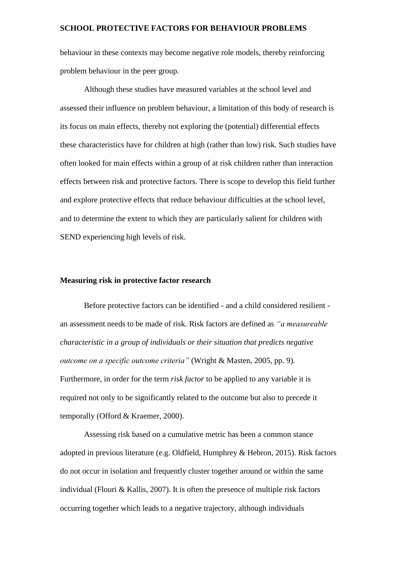behaviour in these contexts may become negative role models, thereby reinforcing problem behaviour in the peer group.

Although these studies have measured variables at the school level and assessed their influence on problem behaviour, a limitation of this body of research is its focus on main effects, thereby not exploring the (potential) differential effects these characteristics have for children at high (rather than low) risk. Such studies have often looked for main effects within a group of at risk children rather than interaction effects between risk and protective factors. There is scope to develop this field further and explore protective effects that reduce behaviour difficulties at the school level, and to determine the extent to which they are particularly salient for children with SEND experiencing high levels of risk.

# **Measuring risk in protective factor research**

Before protective factors can be identified - and a child considered resilient an assessment needs to be made of risk. Risk factors are defined as *"a measureable characteristic in a group of individuals or their situation that predicts negative outcome on a specific outcome criteria"* (Wright & Masten, 2005, pp. 9). Furthermore, in order for the term *risk factor* to be applied to any variable it is required not only to be significantly related to the outcome but also to precede it temporally (Offord & Kraemer, 2000).

Assessing risk based on a cumulative metric has been a common stance adopted in previous literature (e.g. Oldfield, Humphrey & Hebron, 2015). Risk factors do not occur in isolation and frequently cluster together around or within the same individual (Flouri & Kallis, 2007). It is often the presence of multiple risk factors occurring together which leads to a negative trajectory, although individuals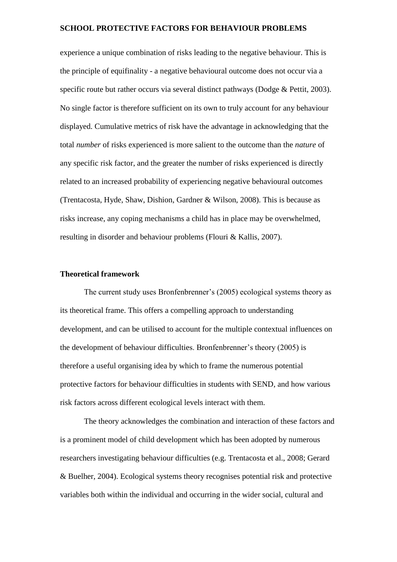experience a unique combination of risks leading to the negative behaviour. This is the principle of equifinality - a negative behavioural outcome does not occur via a specific route but rather occurs via several distinct pathways (Dodge & Pettit, 2003). No single factor is therefore sufficient on its own to truly account for any behaviour displayed. Cumulative metrics of risk have the advantage in acknowledging that the total *number* of risks experienced is more salient to the outcome than the *nature* of any specific risk factor, and the greater the number of risks experienced is directly related to an increased probability of experiencing negative behavioural outcomes (Trentacosta, Hyde, Shaw, Dishion, Gardner & Wilson, 2008). This is because as risks increase, any coping mechanisms a child has in place may be overwhelmed, resulting in disorder and behaviour problems (Flouri & Kallis, 2007).

# **Theoretical framework**

The current study uses Bronfenbrenner's (2005) ecological systems theory as its theoretical frame. This offers a compelling approach to understanding development, and can be utilised to account for the multiple contextual influences on the development of behaviour difficulties. Bronfenbrenner's theory (2005) is therefore a useful organising idea by which to frame the numerous potential protective factors for behaviour difficulties in students with SEND, and how various risk factors across different ecological levels interact with them.

The theory acknowledges the combination and interaction of these factors and is a prominent model of child development which has been adopted by numerous researchers investigating behaviour difficulties (e.g. Trentacosta et al., 2008; Gerard & Buelher, 2004). Ecological systems theory recognises potential risk and protective variables both within the individual and occurring in the wider social, cultural and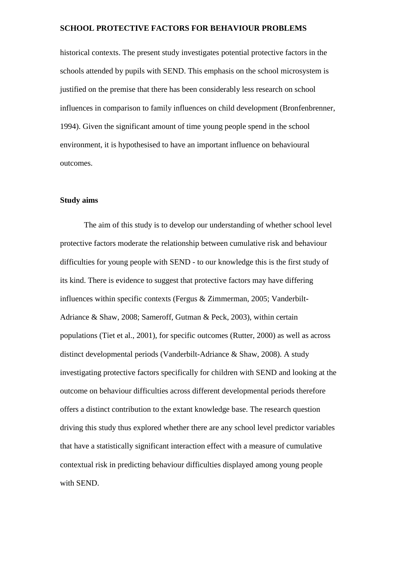historical contexts. The present study investigates potential protective factors in the schools attended by pupils with SEND. This emphasis on the school microsystem is justified on the premise that there has been considerably less research on school influences in comparison to family influences on child development (Bronfenbrenner, 1994). Given the significant amount of time young people spend in the school environment, it is hypothesised to have an important influence on behavioural outcomes.

# **Study aims**

The aim of this study is to develop our understanding of whether school level protective factors moderate the relationship between cumulative risk and behaviour difficulties for young people with SEND - to our knowledge this is the first study of its kind. There is evidence to suggest that protective factors may have differing influences within specific contexts (Fergus & Zimmerman, 2005; Vanderbilt-Adriance & Shaw, 2008; Sameroff, Gutman & Peck, 2003), within certain populations (Tiet et al., 2001), for specific outcomes (Rutter, 2000) as well as across distinct developmental periods (Vanderbilt-Adriance & Shaw, 2008). A study investigating protective factors specifically for children with SEND and looking at the outcome on behaviour difficulties across different developmental periods therefore offers a distinct contribution to the extant knowledge base. The research question driving this study thus explored whether there are any school level predictor variables that have a statistically significant interaction effect with a measure of cumulative contextual risk in predicting behaviour difficulties displayed among young people with SEND.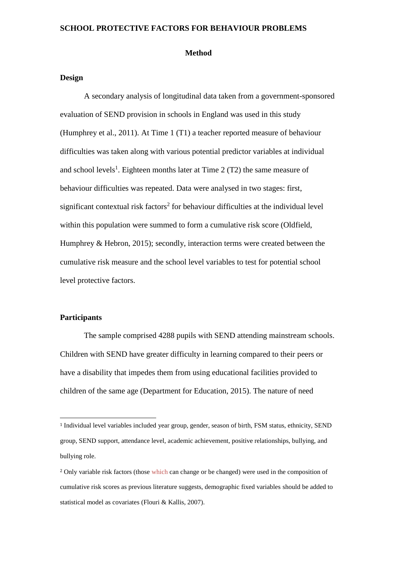#### **Method**

# **Design**

A secondary analysis of longitudinal data taken from a government-sponsored evaluation of SEND provision in schools in England was used in this study (Humphrey et al., 2011). At Time 1 (T1) a teacher reported measure of behaviour difficulties was taken along with various potential predictor variables at individual and school levels 1 . Eighteen months later at Time 2 (T2) the same measure of behaviour difficulties was repeated. Data were analysed in two stages: first, significant contextual risk factors<sup>2</sup> for behaviour difficulties at the individual level within this population were summed to form a cumulative risk score (Oldfield, Humphrey & Hebron, 2015); secondly, interaction terms were created between the cumulative risk measure and the school level variables to test for potential school level protective factors.

# **Participants**

 $\overline{a}$ 

The sample comprised 4288 pupils with SEND attending mainstream schools. Children with SEND have greater difficulty in learning compared to their peers or have a disability that impedes them from using educational facilities provided to children of the same age (Department for Education, 2015). The nature of need

<sup>1</sup> Individual level variables included year group, gender, season of birth, FSM status, ethnicity, SEND group, SEND support, attendance level, academic achievement, positive relationships, bullying, and bullying role.

<sup>2</sup> Only variable risk factors (those which can change or be changed) were used in the composition of cumulative risk scores as previous literature suggests, demographic fixed variables should be added to statistical model as covariates (Flouri & Kallis, 2007).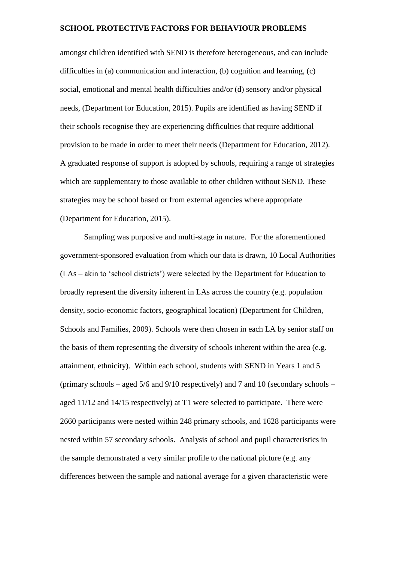amongst children identified with SEND is therefore heterogeneous, and can include difficulties in (a) communication and interaction, (b) cognition and learning, (c) social, emotional and mental health difficulties and/or (d) sensory and/or physical needs, (Department for Education, 2015). Pupils are identified as having SEND if their schools recognise they are experiencing difficulties that require additional provision to be made in order to meet their needs (Department for Education, 2012). A graduated response of support is adopted by schools, requiring a range of strategies which are supplementary to those available to other children without SEND. These strategies may be school based or from external agencies where appropriate (Department for Education, 2015).

Sampling was purposive and multi-stage in nature. For the aforementioned government-sponsored evaluation from which our data is drawn, 10 Local Authorities (LAs – akin to 'school districts') were selected by the Department for Education to broadly represent the diversity inherent in LAs across the country (e.g. population density, socio-economic factors, geographical location) (Department for Children, Schools and Families, 2009). Schools were then chosen in each LA by senior staff on the basis of them representing the diversity of schools inherent within the area (e.g. attainment, ethnicity). Within each school, students with SEND in Years 1 and 5 (primary schools – aged  $5/6$  and  $9/10$  respectively) and 7 and 10 (secondary schools – aged 11/12 and 14/15 respectively) at T1 were selected to participate. There were 2660 participants were nested within 248 primary schools, and 1628 participants were nested within 57 secondary schools. Analysis of school and pupil characteristics in the sample demonstrated a very similar profile to the national picture (e.g. any differences between the sample and national average for a given characteristic were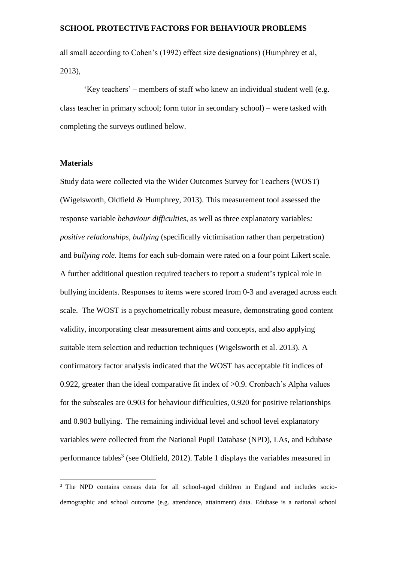all small according to Cohen's (1992) effect size designations) (Humphrey et al, 2013),

'Key teachers' – members of staff who knew an individual student well (e.g. class teacher in primary school; form tutor in secondary school) – were tasked with completing the surveys outlined below.

# **Materials**

 $\overline{a}$ 

Study data were collected via the Wider Outcomes Survey for Teachers (WOST) (Wigelsworth, Oldfield & Humphrey, 2013). This measurement tool assessed the response variable *behaviour difficulties,* as well as three explanatory variables*: positive relationships, bullying* (specifically victimisation rather than perpetration) and *bullying role*. Items for each sub-domain were rated on a four point Likert scale. A further additional question required teachers to report a student's typical role in bullying incidents. Responses to items were scored from 0-3 and averaged across each scale. The WOST is a psychometrically robust measure, demonstrating good content validity, incorporating clear measurement aims and concepts, and also applying suitable item selection and reduction techniques (Wigelsworth et al. 2013). A confirmatory factor analysis indicated that the WOST has acceptable fit indices of 0.922, greater than the ideal comparative fit index of >0.9. Cronbach's Alpha values for the subscales are 0.903 for behaviour difficulties, 0.920 for positive relationships and 0.903 bullying. The remaining individual level and school level explanatory variables were collected from the National Pupil Database (NPD), LAs, and Edubase performance tables<sup>3</sup> (see Oldfield, 2012). Table 1 displays the variables measured in

<sup>&</sup>lt;sup>3</sup> The NPD contains census data for all school-aged children in England and includes sociodemographic and school outcome (e.g. attendance, attainment) data. Edubase is a national school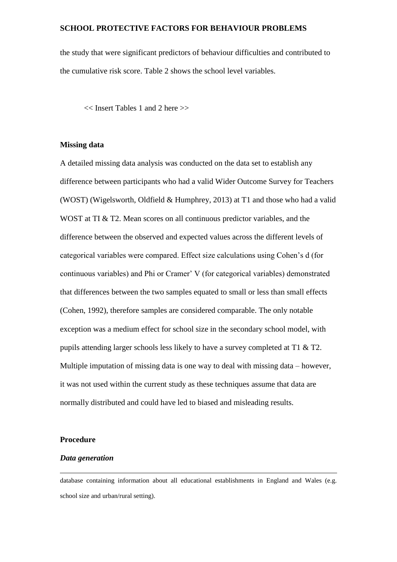the study that were significant predictors of behaviour difficulties and contributed to the cumulative risk score. Table 2 shows the school level variables.

<< Insert Tables 1 and 2 here >>

# **Missing data**

A detailed missing data analysis was conducted on the data set to establish any difference between participants who had a valid Wider Outcome Survey for Teachers (WOST) (Wigelsworth, Oldfield & Humphrey, 2013) at T1 and those who had a valid WOST at TI & T2. Mean scores on all continuous predictor variables, and the difference between the observed and expected values across the different levels of categorical variables were compared. Effect size calculations using Cohen's d (for continuous variables) and Phi or Cramer' V (for categorical variables) demonstrated that differences between the two samples equated to small or less than small effects (Cohen, 1992), therefore samples are considered comparable. The only notable exception was a medium effect for school size in the secondary school model, with pupils attending larger schools less likely to have a survey completed at T1 & T2. Multiple imputation of missing data is one way to deal with missing data – however, it was not used within the current study as these techniques assume that data are normally distributed and could have led to biased and misleading results.

#### **Procedure**

 $\overline{a}$ 

# *Data generation*

database containing information about all educational establishments in England and Wales (e.g. school size and urban/rural setting).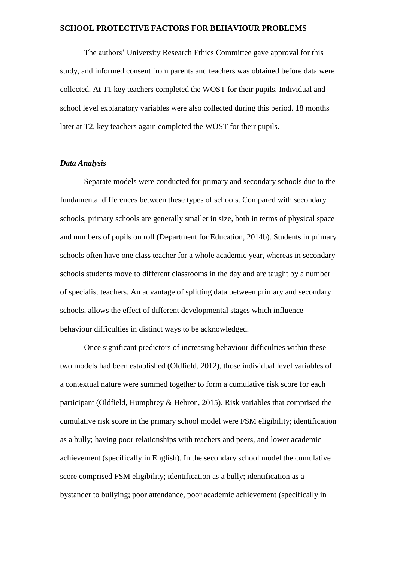The authors' University Research Ethics Committee gave approval for this study, and informed consent from parents and teachers was obtained before data were collected. At T1 key teachers completed the WOST for their pupils. Individual and school level explanatory variables were also collected during this period. 18 months later at T2, key teachers again completed the WOST for their pupils.

# *Data Analysis*

Separate models were conducted for primary and secondary schools due to the fundamental differences between these types of schools. Compared with secondary schools, primary schools are generally smaller in size, both in terms of physical space and numbers of pupils on roll (Department for Education, 2014b). Students in primary schools often have one class teacher for a whole academic year, whereas in secondary schools students move to different classrooms in the day and are taught by a number of specialist teachers. An advantage of splitting data between primary and secondary schools, allows the effect of different developmental stages which influence behaviour difficulties in distinct ways to be acknowledged.

Once significant predictors of increasing behaviour difficulties within these two models had been established (Oldfield, 2012), those individual level variables of a contextual nature were summed together to form a cumulative risk score for each participant (Oldfield, Humphrey & Hebron, 2015). Risk variables that comprised the cumulative risk score in the primary school model were FSM eligibility; identification as a bully; having poor relationships with teachers and peers, and lower academic achievement (specifically in English). In the secondary school model the cumulative score comprised FSM eligibility; identification as a bully; identification as a bystander to bullying; poor attendance, poor academic achievement (specifically in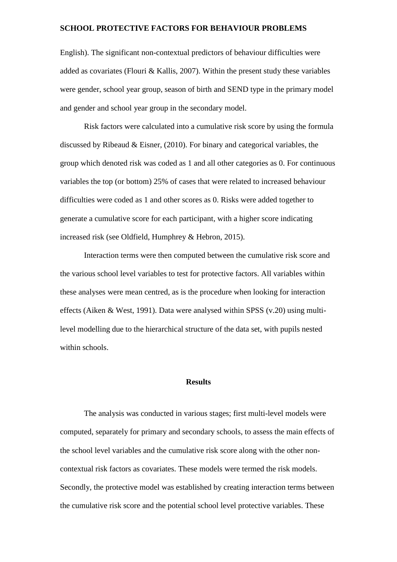English). The significant non-contextual predictors of behaviour difficulties were added as covariates (Flouri & Kallis, 2007). Within the present study these variables were gender, school year group, season of birth and SEND type in the primary model and gender and school year group in the secondary model.

Risk factors were calculated into a cumulative risk score by using the formula discussed by Ribeaud & Eisner, (2010). For binary and categorical variables, the group which denoted risk was coded as 1 and all other categories as 0. For continuous variables the top (or bottom) 25% of cases that were related to increased behaviour difficulties were coded as 1 and other scores as 0. Risks were added together to generate a cumulative score for each participant, with a higher score indicating increased risk (see Oldfield, Humphrey & Hebron, 2015).

Interaction terms were then computed between the cumulative risk score and the various school level variables to test for protective factors. All variables within these analyses were mean centred, as is the procedure when looking for interaction effects (Aiken & West, 1991). Data were analysed within SPSS (v.20) using multilevel modelling due to the hierarchical structure of the data set, with pupils nested within schools.

# **Results**

The analysis was conducted in various stages; first multi-level models were computed, separately for primary and secondary schools, to assess the main effects of the school level variables and the cumulative risk score along with the other noncontextual risk factors as covariates. These models were termed the risk models. Secondly, the protective model was established by creating interaction terms between the cumulative risk score and the potential school level protective variables. These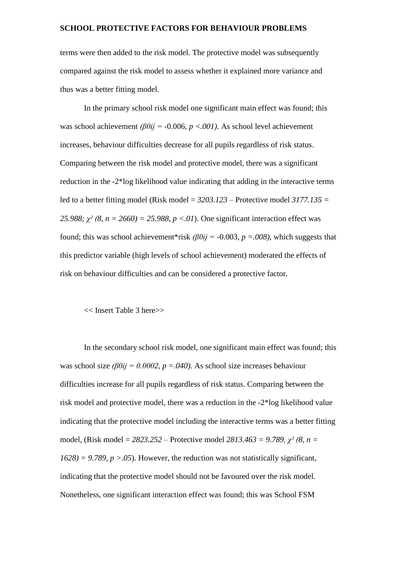terms were then added to the risk model. The protective model was subsequently compared against the risk model to assess whether it explained more variance and thus was a better fitting model.

In the primary school risk model one significant main effect was found; this was school achievement *(β0ij =* -0.006*, p <.001)*. As school level achievement increases, behaviour difficulties decrease for all pupils regardless of risk status. Comparing between the risk model and protective model, there was a significant reduction in the -2\*log likelihood value indicating that adding in the interactive terms led to a better fitting model (Risk model = *3203.123* – Protective model *3177.135 = 25.988; χ² (8, n = 2660) = 25.988, p <.01*). One significant interaction effect was found; this was school achievement\*risk *(β0ij =* -0.003*, p =.008)*, which suggests that this predictor variable (high levels of school achievement) moderated the effects of risk on behaviour difficulties and can be considered a protective factor.

# << Insert Table 3 here>>

In the secondary school risk model, one significant main effect was found; this was school size *(β0ij = 0.0002, p =.040)*. As school size increases behaviour difficulties increase for all pupils regardless of risk status. Comparing between the risk model and protective model, there was a reduction in the -2\*log likelihood value indicating that the protective model including the interactive terms was a better fitting model, (Risk model = *2823.252* – Protective model *2813.463 = 9.789, χ² (8, n =*   $1628$ ) = 9.789,  $p > .05$ ). However, the reduction was not statistically significant, indicating that the protective model should not be favoured over the risk model. Nonetheless, one significant interaction effect was found; this was School FSM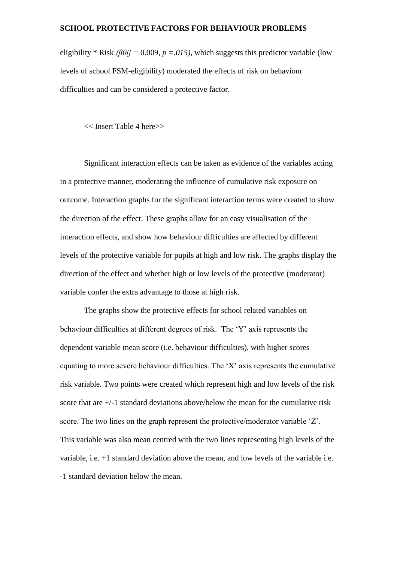eligibility \* Risk *(β0ij =* 0.009*, p =.015)*, which suggests this predictor variable (low levels of school FSM-eligibility) moderated the effects of risk on behaviour difficulties and can be considered a protective factor.

<< Insert Table 4 here>>

Significant interaction effects can be taken as evidence of the variables acting in a protective manner, moderating the influence of cumulative risk exposure on outcome. Interaction graphs for the significant interaction terms were created to show the direction of the effect. These graphs allow for an easy visualisation of the interaction effects, and show how behaviour difficulties are affected by different levels of the protective variable for pupils at high and low risk. The graphs display the direction of the effect and whether high or low levels of the protective (moderator) variable confer the extra advantage to those at high risk.

The graphs show the protective effects for school related variables on behaviour difficulties at different degrees of risk. The 'Y' axis represents the dependent variable mean score (i.e. behaviour difficulties), with higher scores equating to more severe behaviour difficulties. The 'X' axis represents the cumulative risk variable. Two points were created which represent high and low levels of the risk score that are +/-1 standard deviations above/below the mean for the cumulative risk score. The two lines on the graph represent the protective/moderator variable 'Z'. This variable was also mean centred with the two lines representing high levels of the variable, i.e. +1 standard deviation above the mean, and low levels of the variable i.e. -1 standard deviation below the mean.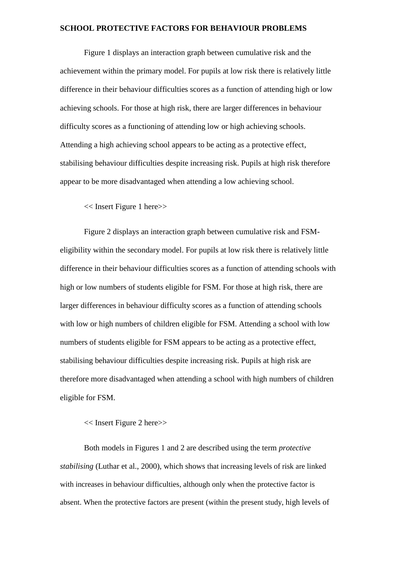Figure 1 displays an interaction graph between cumulative risk and the achievement within the primary model. For pupils at low risk there is relatively little difference in their behaviour difficulties scores as a function of attending high or low achieving schools. For those at high risk, there are larger differences in behaviour difficulty scores as a functioning of attending low or high achieving schools. Attending a high achieving school appears to be acting as a protective effect, stabilising behaviour difficulties despite increasing risk. Pupils at high risk therefore appear to be more disadvantaged when attending a low achieving school.

<< Insert Figure 1 here>>

Figure 2 displays an interaction graph between cumulative risk and FSMeligibility within the secondary model. For pupils at low risk there is relatively little difference in their behaviour difficulties scores as a function of attending schools with high or low numbers of students eligible for FSM. For those at high risk, there are larger differences in behaviour difficulty scores as a function of attending schools with low or high numbers of children eligible for FSM. Attending a school with low numbers of students eligible for FSM appears to be acting as a protective effect, stabilising behaviour difficulties despite increasing risk. Pupils at high risk are therefore more disadvantaged when attending a school with high numbers of children eligible for FSM.

<< Insert Figure 2 here>>

Both models in Figures 1 and 2 are described using the term *protective stabilising* (Luthar et al., 2000), which shows that increasing levels of risk are linked with increases in behaviour difficulties, although only when the protective factor is absent. When the protective factors are present (within the present study, high levels of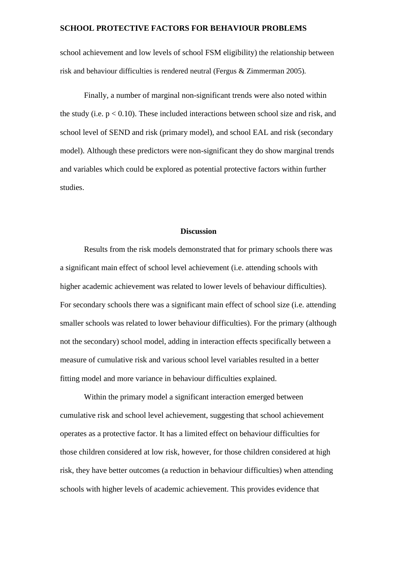school achievement and low levels of school FSM eligibility) the relationship between risk and behaviour difficulties is rendered neutral (Fergus & Zimmerman 2005).

Finally, a number of marginal non-significant trends were also noted within the study (i.e.  $p < 0.10$ ). These included interactions between school size and risk, and school level of SEND and risk (primary model), and school EAL and risk (secondary model). Although these predictors were non-significant they do show marginal trends and variables which could be explored as potential protective factors within further studies.

# **Discussion**

Results from the risk models demonstrated that for primary schools there was a significant main effect of school level achievement (i.e. attending schools with higher academic achievement was related to lower levels of behaviour difficulties). For secondary schools there was a significant main effect of school size (i.e. attending smaller schools was related to lower behaviour difficulties). For the primary (although not the secondary) school model, adding in interaction effects specifically between a measure of cumulative risk and various school level variables resulted in a better fitting model and more variance in behaviour difficulties explained.

Within the primary model a significant interaction emerged between cumulative risk and school level achievement, suggesting that school achievement operates as a protective factor. It has a limited effect on behaviour difficulties for those children considered at low risk, however, for those children considered at high risk, they have better outcomes (a reduction in behaviour difficulties) when attending schools with higher levels of academic achievement. This provides evidence that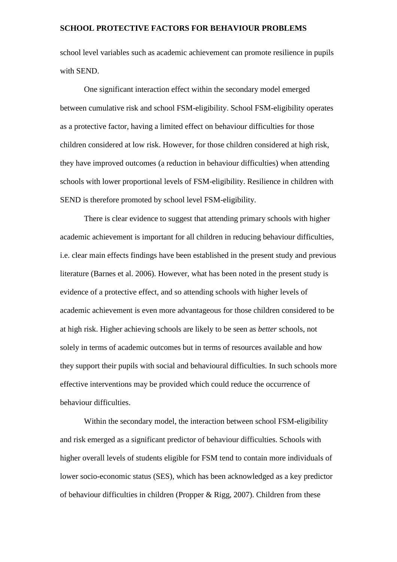school level variables such as academic achievement can promote resilience in pupils with SEND.

One significant interaction effect within the secondary model emerged between cumulative risk and school FSM-eligibility. School FSM-eligibility operates as a protective factor, having a limited effect on behaviour difficulties for those children considered at low risk. However, for those children considered at high risk, they have improved outcomes (a reduction in behaviour difficulties) when attending schools with lower proportional levels of FSM-eligibility. Resilience in children with SEND is therefore promoted by school level FSM-eligibility.

There is clear evidence to suggest that attending primary schools with higher academic achievement is important for all children in reducing behaviour difficulties, i.e. clear main effects findings have been established in the present study and previous literature (Barnes et al. 2006). However, what has been noted in the present study is evidence of a protective effect, and so attending schools with higher levels of academic achievement is even more advantageous for those children considered to be at high risk. Higher achieving schools are likely to be seen as *better* schools, not solely in terms of academic outcomes but in terms of resources available and how they support their pupils with social and behavioural difficulties. In such schools more effective interventions may be provided which could reduce the occurrence of behaviour difficulties.

Within the secondary model, the interaction between school FSM-eligibility and risk emerged as a significant predictor of behaviour difficulties. Schools with higher overall levels of students eligible for FSM tend to contain more individuals of lower socio-economic status (SES), which has been acknowledged as a key predictor of behaviour difficulties in children (Propper & Rigg, 2007). Children from these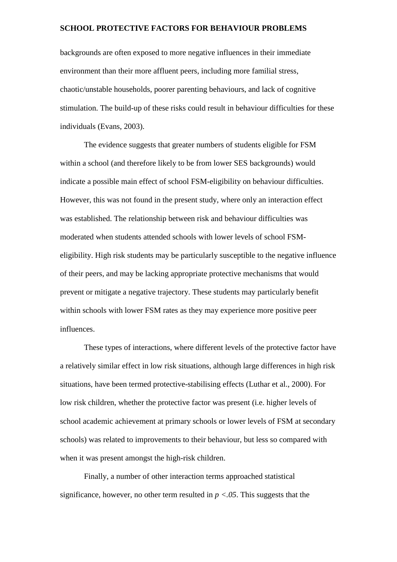backgrounds are often exposed to more negative influences in their immediate environment than their more affluent peers, including more familial stress, chaotic/unstable households, poorer parenting behaviours, and lack of cognitive stimulation. The build-up of these risks could result in behaviour difficulties for these individuals (Evans, 2003).

The evidence suggests that greater numbers of students eligible for FSM within a school (and therefore likely to be from lower SES backgrounds) would indicate a possible main effect of school FSM-eligibility on behaviour difficulties. However, this was not found in the present study, where only an interaction effect was established. The relationship between risk and behaviour difficulties was moderated when students attended schools with lower levels of school FSMeligibility. High risk students may be particularly susceptible to the negative influence of their peers, and may be lacking appropriate protective mechanisms that would prevent or mitigate a negative trajectory. These students may particularly benefit within schools with lower FSM rates as they may experience more positive peer influences.

These types of interactions, where different levels of the protective factor have a relatively similar effect in low risk situations, although large differences in high risk situations, have been termed protective-stabilising effects (Luthar et al., 2000). For low risk children, whether the protective factor was present (i.e. higher levels of school academic achievement at primary schools or lower levels of FSM at secondary schools) was related to improvements to their behaviour, but less so compared with when it was present amongst the high-risk children.

Finally, a number of other interaction terms approached statistical significance, however, no other term resulted in  $p < 0.05$ . This suggests that the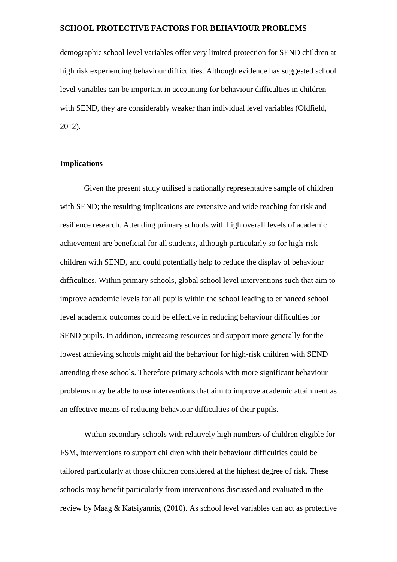demographic school level variables offer very limited protection for SEND children at high risk experiencing behaviour difficulties. Although evidence has suggested school level variables can be important in accounting for behaviour difficulties in children with SEND, they are considerably weaker than individual level variables (Oldfield, 2012).

# **Implications**

Given the present study utilised a nationally representative sample of children with SEND; the resulting implications are extensive and wide reaching for risk and resilience research. Attending primary schools with high overall levels of academic achievement are beneficial for all students, although particularly so for high-risk children with SEND, and could potentially help to reduce the display of behaviour difficulties. Within primary schools, global school level interventions such that aim to improve academic levels for all pupils within the school leading to enhanced school level academic outcomes could be effective in reducing behaviour difficulties for SEND pupils. In addition, increasing resources and support more generally for the lowest achieving schools might aid the behaviour for high-risk children with SEND attending these schools. Therefore primary schools with more significant behaviour problems may be able to use interventions that aim to improve academic attainment as an effective means of reducing behaviour difficulties of their pupils.

Within secondary schools with relatively high numbers of children eligible for FSM, interventions to support children with their behaviour difficulties could be tailored particularly at those children considered at the highest degree of risk. These schools may benefit particularly from interventions discussed and evaluated in the review by Maag & Katsiyannis, (2010). As school level variables can act as protective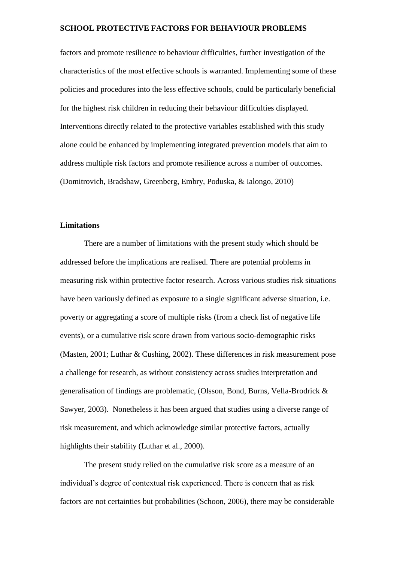factors and promote resilience to behaviour difficulties, further investigation of the characteristics of the most effective schools is warranted. Implementing some of these policies and procedures into the less effective schools, could be particularly beneficial for the highest risk children in reducing their behaviour difficulties displayed. Interventions directly related to the protective variables established with this study alone could be enhanced by implementing integrated prevention models that aim to address multiple risk factors and promote resilience across a number of outcomes. (Domitrovich, Bradshaw, Greenberg, Embry, Poduska, & Ialongo, 2010)

#### **Limitations**

There are a number of limitations with the present study which should be addressed before the implications are realised. There are potential problems in measuring risk within protective factor research. Across various studies risk situations have been variously defined as exposure to a single significant adverse situation, i.e. poverty or aggregating a score of multiple risks (from a check list of negative life events), or a cumulative risk score drawn from various socio-demographic risks (Masten, 2001; Luthar & Cushing, 2002). These differences in risk measurement pose a challenge for research, as without consistency across studies interpretation and generalisation of findings are problematic, (Olsson, Bond, Burns, Vella-Brodrick & Sawyer, 2003). Nonetheless it has been argued that studies using a diverse range of risk measurement, and which acknowledge similar protective factors, actually highlights their stability (Luthar et al., 2000).

The present study relied on the cumulative risk score as a measure of an individual's degree of contextual risk experienced. There is concern that as risk factors are not certainties but probabilities (Schoon, 2006), there may be considerable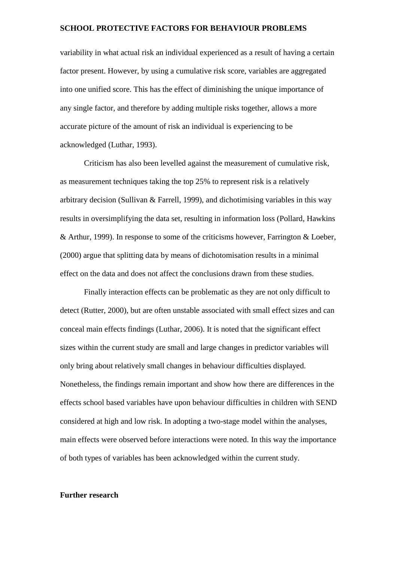variability in what actual risk an individual experienced as a result of having a certain factor present. However, by using a cumulative risk score, variables are aggregated into one unified score. This has the effect of diminishing the unique importance of any single factor, and therefore by adding multiple risks together, allows a more accurate picture of the amount of risk an individual is experiencing to be acknowledged (Luthar, 1993).

Criticism has also been levelled against the measurement of cumulative risk, as measurement techniques taking the top 25% to represent risk is a relatively arbitrary decision (Sullivan & Farrell, 1999), and dichotimising variables in this way results in oversimplifying the data set, resulting in information loss (Pollard, Hawkins & Arthur, 1999). In response to some of the criticisms however, Farrington & Loeber, (2000) argue that splitting data by means of dichotomisation results in a minimal effect on the data and does not affect the conclusions drawn from these studies.

Finally interaction effects can be problematic as they are not only difficult to detect (Rutter, 2000), but are often unstable associated with small effect sizes and can conceal main effects findings (Luthar, 2006). It is noted that the significant effect sizes within the current study are small and large changes in predictor variables will only bring about relatively small changes in behaviour difficulties displayed. Nonetheless, the findings remain important and show how there are differences in the effects school based variables have upon behaviour difficulties in children with SEND considered at high and low risk. In adopting a two-stage model within the analyses, main effects were observed before interactions were noted. In this way the importance of both types of variables has been acknowledged within the current study.

# **Further research**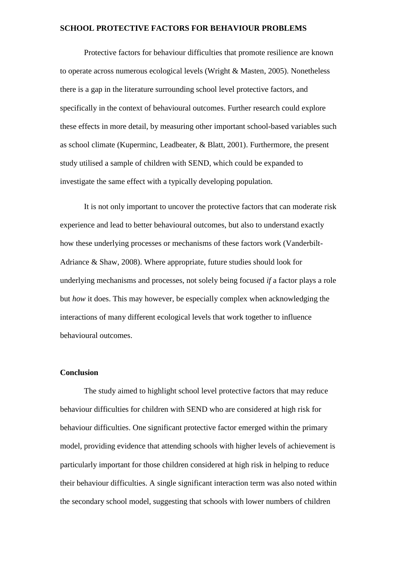Protective factors for behaviour difficulties that promote resilience are known to operate across numerous ecological levels (Wright & Masten, 2005). Nonetheless there is a gap in the literature surrounding school level protective factors, and specifically in the context of behavioural outcomes. Further research could explore these effects in more detail, by measuring other important school-based variables such as school climate (Kuperminc, Leadbeater, & Blatt, 2001). Furthermore, the present study utilised a sample of children with SEND, which could be expanded to investigate the same effect with a typically developing population.

It is not only important to uncover the protective factors that can moderate risk experience and lead to better behavioural outcomes, but also to understand exactly how these underlying processes or mechanisms of these factors work (Vanderbilt-Adriance & Shaw, 2008). Where appropriate, future studies should look for underlying mechanisms and processes, not solely being focused *if* a factor plays a role but *how* it does. This may however, be especially complex when acknowledging the interactions of many different ecological levels that work together to influence behavioural outcomes.

#### **Conclusion**

The study aimed to highlight school level protective factors that may reduce behaviour difficulties for children with SEND who are considered at high risk for behaviour difficulties. One significant protective factor emerged within the primary model, providing evidence that attending schools with higher levels of achievement is particularly important for those children considered at high risk in helping to reduce their behaviour difficulties. A single significant interaction term was also noted within the secondary school model, suggesting that schools with lower numbers of children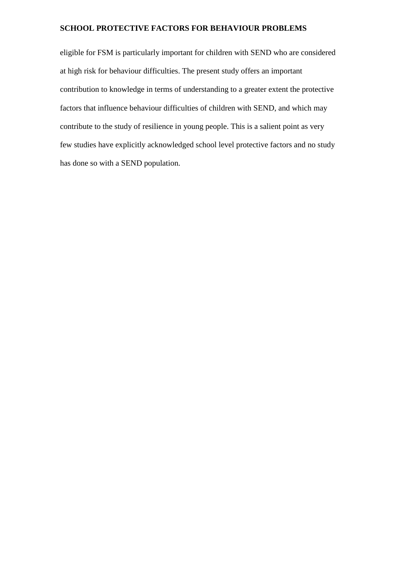eligible for FSM is particularly important for children with SEND who are considered at high risk for behaviour difficulties. The present study offers an important contribution to knowledge in terms of understanding to a greater extent the protective factors that influence behaviour difficulties of children with SEND, and which may contribute to the study of resilience in young people. This is a salient point as very few studies have explicitly acknowledged school level protective factors and no study has done so with a SEND population.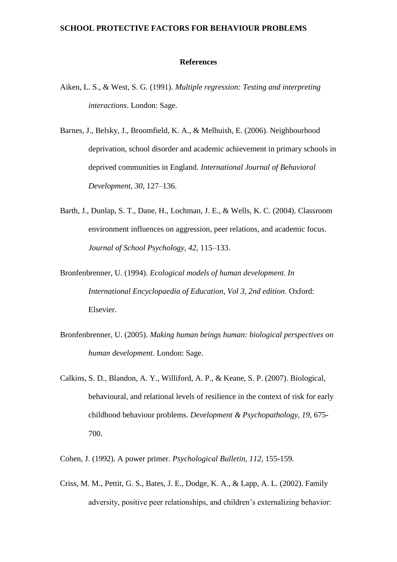#### **References**

- Aiken, L. S., & West, S. G. (1991). *Multiple regression: Testing and interpreting interactions*. London: Sage.
- Barnes, J., Belsky, J., Broomfield, K. A., & Melhuish, E. (2006). Neighbourhood deprivation, school disorder and academic achievement in primary schools in deprived communities in England. *International Journal of Behavioral Development, 30*, 127–136.
- Barth, J., Dunlap, S. T., Dane, H., Lochman, J. E., & Wells, K. C. (2004). Classroom environment influences on aggression, peer relations, and academic focus. *Journal of School Psychology, 42*, 115–133.
- Bronfenbrenner, U. (1994). *Ecological models of human development. In International Encyclopaedia of Education, Vol 3, 2nd edition*. Oxford: Elsevier.
- Bronfenbrenner, U. (2005). *Making human beings human: biological perspectives on human development*. London: Sage.
- Calkins, S. D., Blandon, A. Y., Williford, A. P., & Keane, S. P. (2007). Biological, behavioural, and relational levels of resilience in the context of risk for early childhood behaviour problems. *Development & Psychopathology, 19*, 675- 700.
- Cohen, J. (1992). A power primer. *Psychological Bulletin, 112*, 155-159.
- Criss, M. M., Pettit, G. S., Bates, J. E., Dodge, K. A., & Lapp, A. L. (2002). Family adversity, positive peer relationships, and children's externalizing behavior: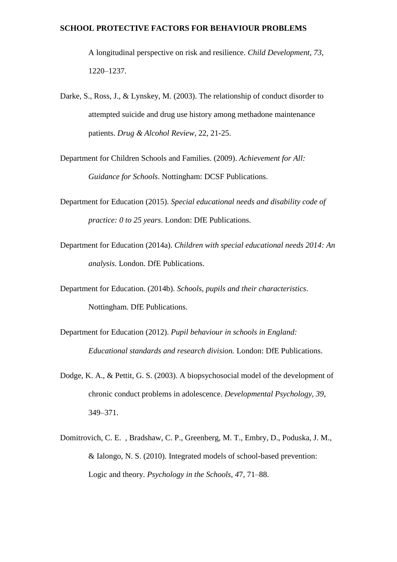A longitudinal perspective on risk and resilience. *Child Development, 73,*  1220–1237.

- Darke, S., Ross, J., & Lynskey, M. (2003). The relationship of conduct disorder to attempted suicide and drug use history among methadone maintenance patients. *Drug & Alcohol Review*, 22, 21-25.
- Department for Children Schools and Families. (2009). *Achievement for All: Guidance for Schools*. Nottingham: DCSF Publications.
- Department for Education (2015). *Special educational needs and disability code of practice: 0 to 25 years*. London: DfE Publications.
- Department for Education (2014a). *Children with special educational needs 2014: An analysis*. London. DfE Publications.
- Department for Education. (2014b). *Schools, pupils and their characteristics*. Nottingham. DfE Publications.
- Department for Education (2012). *Pupil behaviour in schools in England: Educational standards and research division.* London: DfE Publications.
- Dodge, K. A., & Pettit, G. S. (2003). A biopsychosocial model of the development of chronic conduct problems in adolescence. *Developmental Psychology, 39*, 349–371.
- Domitrovich, C. E. , Bradshaw, C. P., Greenberg, M. T., Embry, D., Poduska, J. M., & Ialongo, N. S. (2010). Integrated models of school-based prevention: Logic and theory. *Psychology in the Schools, 4*7, 71–88.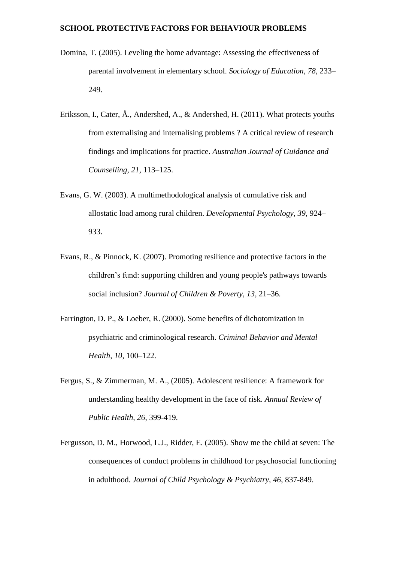- Domina, T. (2005). Leveling the home advantage: Assessing the effectiveness of parental involvement in elementary school. *Sociology of Education, 78,* 233– 249.
- Eriksson, I., Cater, Å., Andershed, A., & Andershed, H. (2011). What protects youths from externalising and internalising problems ? A critical review of research findings and implications for practice. *Australian Journal of Guidance and Counselling, 21*, 113–125.
- Evans, G. W. (2003). A multimethodological analysis of cumulative risk and allostatic load among rural children. *Developmental Psychology, 39,* 924– 933.
- Evans, R., & Pinnock, K. (2007). Promoting resilience and protective factors in the children's fund: supporting children and young people's pathways towards social inclusion? *Journal of Children & Poverty, 13,* 21–36.
- Farrington, D. P., & Loeber, R. (2000). Some benefits of dichotomization in psychiatric and criminological research. *Criminal Behavior and Mental Health, 10*, 100–122.
- Fergus, S., & Zimmerman, M. A., (2005). Adolescent resilience: A framework for understanding healthy development in the face of risk. *Annual Review of Public Health, 26*, 399-419.
- Fergusson, D. M., Horwood, L.J., Ridder, E. (2005). Show me the child at seven: The consequences of conduct problems in childhood for psychosocial functioning in adulthood. *Journal of Child Psychology & Psychiatry, 46*, 837-849.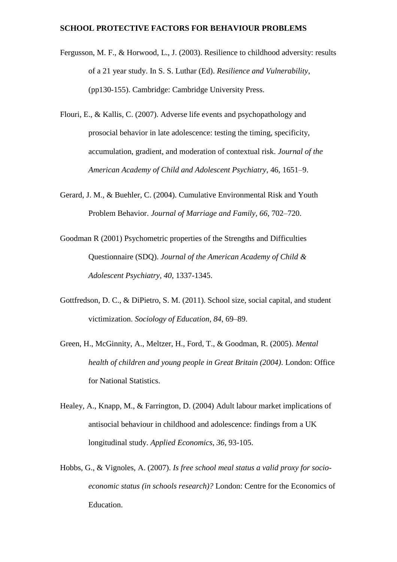- Fergusson, M. F., & Horwood, L., J. (2003). Resilience to childhood adversity: results of a 21 year study. In S. S. Luthar (Ed). *Resilience and Vulnerability*, (pp130-155). Cambridge: Cambridge University Press.
- Flouri, E., & Kallis, C. (2007). Adverse life events and psychopathology and prosocial behavior in late adolescence: testing the timing, specificity, accumulation, gradient, and moderation of contextual risk. *Journal of the American Academy of Child and Adolescent Psychiatry*, 46, 1651–9.
- Gerard, J. M., & Buehler, C. (2004). Cumulative Environmental Risk and Youth Problem Behavior. *Journal of Marriage and Family, 66*, 702–720.
- Goodman R (2001) Psychometric properties of the Strengths and Difficulties Questionnaire (SDQ). *Journal of the American Academy of Child & Adolescent Psychiatry, 40*, 1337-1345.
- Gottfredson, D. C., & DiPietro, S. M. (2011). School size, social capital, and student victimization. *Sociology of Education, 84*, 69–89.
- Green, H., McGinnity, A., Meltzer, H., Ford, T., & Goodman, R. (2005). *Mental health of children and young people in Great Britain (2004)*. London: Office for National Statistics.
- Healey, A., Knapp, M., & Farrington, D. (2004) Adult labour market implications of antisocial behaviour in childhood and adolescence: findings from a UK longitudinal study. *Applied Economics, 36*, 93-105.
- Hobbs, G., & Vignoles, A. (2007). *Is free school meal status a valid proxy for socioeconomic status (in schools research)?* London: Centre for the Economics of Education.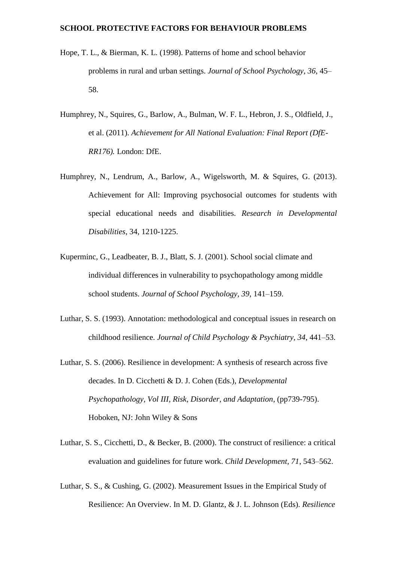- Hope, T. L., & Bierman, K. L. (1998). Patterns of home and school behavior problems in rural and urban settings. *Journal of School Psychology, 36*, 45– 58.
- Humphrey, N., Squires, G., Barlow, A., Bulman, W. F. L., Hebron, J. S., Oldfield, J., et al. (2011). *Achievement for All National Evaluation: Final Report (DfE-RR176).* London: DfE.
- Humphrey, N., Lendrum, A., Barlow, A., Wigelsworth, M. & Squires, G. (2013). Achievement for All: Improving psychosocial outcomes for students with special educational needs and disabilities. *Research in Developmental Disabilities*, 34, 1210-1225.
- Kuperminc, G., Leadbeater, B. J., Blatt, S. J. (2001). School social climate and individual differences in vulnerability to psychopathology among middle school students. *Journal of School Psychology, 39*, 141–159.
- Luthar, S. S. (1993). Annotation: methodological and conceptual issues in research on childhood resilience. *Journal of Child Psychology & Psychiatry, 34*, 441–53.
- Luthar, S. S. (2006). Resilience in development: A synthesis of research across five decades. In D. Cicchetti & D. J. Cohen (Eds.), *Developmental Psychopathology, Vol III, Risk, Disorder, and Adaptation*, (pp739-795). Hoboken, NJ: John Wiley & Sons
- Luthar, S. S., Cicchetti, D., & Becker, B. (2000). The construct of resilience: a critical evaluation and guidelines for future work. *Child Development, 71*, 543–562.
- Luthar, S. S., & Cushing, G. (2002). Measurement Issues in the Empirical Study of Resilience: An Overview. In M. D. Glantz, & J. L. Johnson (Eds). *Resilience*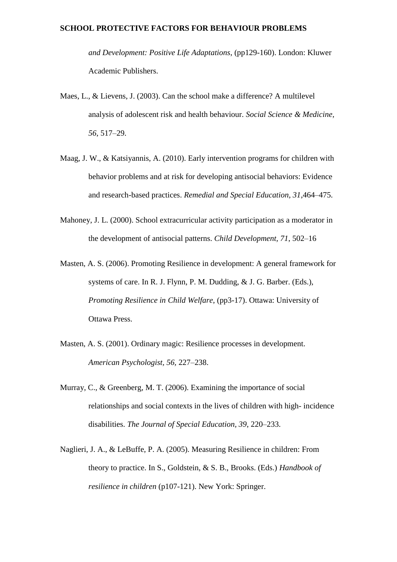*and Development: Positive Life Adaptations*, (pp129-160). London: Kluwer Academic Publishers.

- Maes, L., & Lievens, J. (2003). Can the school make a difference? A multilevel analysis of adolescent risk and health behaviour. *Social Science & Medicine, 56*, 517–29.
- Maag, J. W., & Katsiyannis, A. (2010). Early intervention programs for children with behavior problems and at risk for developing antisocial behaviors: Evidence and research-based practices. *Remedial and Special Education, 31*,464–475.
- Mahoney, J. L. (2000). School extracurricular activity participation as a moderator in the development of antisocial patterns. *Child Development, 71*, 502–16
- Masten, A. S. (2006). Promoting Resilience in development: A general framework for systems of care. In R. J. Flynn, P. M. Dudding, & J. G. Barber. (Eds.), *Promoting Resilience in Child Welfare*, (pp3-17). Ottawa: University of Ottawa Press.
- Masten, A. S. (2001). Ordinary magic: Resilience processes in development. *American Psychologist, 56,* 227–238.
- Murray, C., & Greenberg, M. T. (2006). Examining the importance of social relationships and social contexts in the lives of children with high- incidence disabilities. *The Journal of Special Education, 39*, 220–233.
- Naglieri, J. A., & LeBuffe, P. A. (2005). Measuring Resilience in children: From theory to practice. In S., Goldstein, & S. B., Brooks. (Eds.) *Handbook of resilience in children* (p107-121). New York: Springer.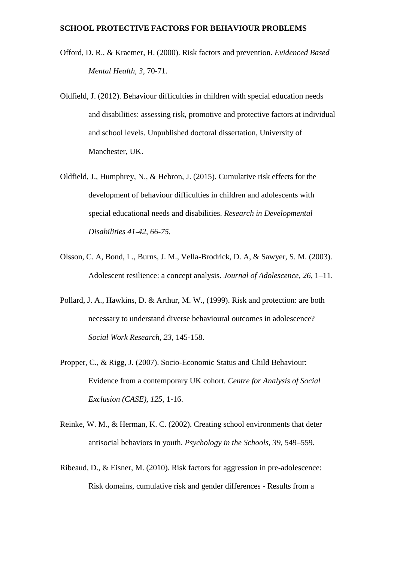- Offord, D. R., & Kraemer, H. (2000). Risk factors and prevention. *Evidenced Based Mental Health, 3,* 70-71.
- Oldfield, J. (2012). Behaviour difficulties in children with special education needs and disabilities: assessing risk, promotive and protective factors at individual and school levels. Unpublished doctoral dissertation, University of Manchester, UK.
- Oldfield, J., Humphrey, N., & Hebron, J. (2015). Cumulative risk effects for the development of behaviour difficulties in children and adolescents with special educational needs and disabilities. *Research in Developmental Disabilities 41-42, 66-75.*
- Olsson, C. A, Bond, L., Burns, J. M., Vella-Brodrick, D. A, & Sawyer, S. M. (2003). Adolescent resilience: a concept analysis. *Journal of Adolescence, 26*, 1–11.
- Pollard, J. A., Hawkins, D. & Arthur, M. W., (1999). Risk and protection: are both necessary to understand diverse behavioural outcomes in adolescence? *Social Work Research, 23*, 145-158.
- Propper, C., & Rigg, J. (2007). Socio-Economic Status and Child Behaviour: Evidence from a contemporary UK cohort. *Centre for Analysis of Social Exclusion (CASE), 125*, 1-16.
- Reinke, W. M., & Herman, K. C. (2002). Creating school environments that deter antisocial behaviors in youth. *Psychology in the Schools, 39,* 549–559.
- Ribeaud, D., & Eisner, M. (2010). Risk factors for aggression in pre-adolescence: Risk domains, cumulative risk and gender differences - Results from a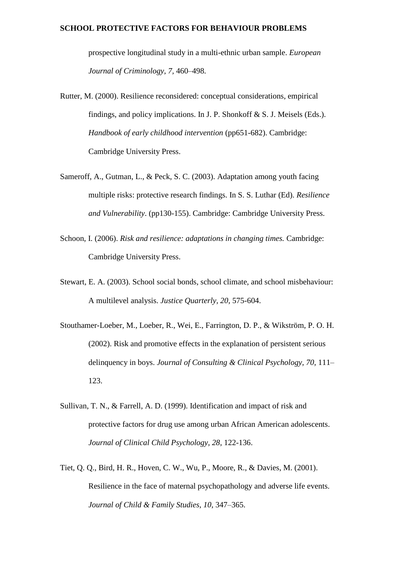prospective longitudinal study in a multi-ethnic urban sample. *European Journal of Criminology, 7,* 460–498.

- Rutter, M. (2000). Resilience reconsidered: conceptual considerations, empirical findings, and policy implications. In J. P. Shonkoff  $\& S.$  J. Meisels (Eds.). *Handbook of early childhood intervention* (pp651-682). Cambridge: Cambridge University Press.
- Sameroff, A., Gutman, L., & Peck, S. C. (2003). Adaptation among youth facing multiple risks: protective research findings. In S. S. Luthar (Ed). *Resilience and Vulnerability*. (pp130-155). Cambridge: Cambridge University Press.
- Schoon, I. (2006). *Risk and resilience: adaptations in changing times.* Cambridge: Cambridge University Press.
- Stewart, E. A. (2003). School social bonds, school climate, and school misbehaviour: A multilevel analysis. *Justice Quarterly, 20*, 575-604.
- Stouthamer-Loeber, M., Loeber, R., Wei, E., Farrington, D. P., & Wikström, P. O. H. (2002). Risk and promotive effects in the explanation of persistent serious delinquency in boys. *Journal of Consulting & Clinical Psychology, 70,* 111– 123.
- Sullivan, T. N., & Farrell, A. D. (1999). Identification and impact of risk and protective factors for drug use among urban African American adolescents. *Journal of Clinical Child Psychology, 28*, 122-136.
- Tiet, Q. Q., Bird, H. R., Hoven, C. W., Wu, P., Moore, R., & Davies, M. (2001). Resilience in the face of maternal psychopathology and adverse life events. *Journal of Child & Family Studies, 10*, 347–365.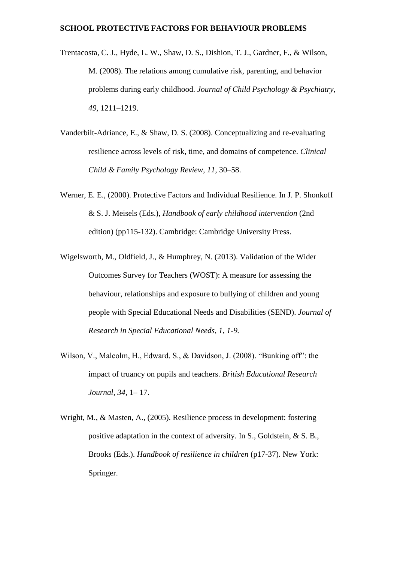- Trentacosta, C. J., Hyde, L. W., Shaw, D. S., Dishion, T. J., Gardner, F., & Wilson, M. (2008). The relations among cumulative risk, parenting, and behavior problems during early childhood. *Journal of Child Psychology & Psychiatry, 49,* 1211–1219.
- Vanderbilt-Adriance, E., & Shaw, D. S. (2008). Conceptualizing and re-evaluating resilience across levels of risk, time, and domains of competence. *Clinical Child & Family Psychology Review, 11,* 30–58.
- Werner, E. E., (2000). Protective Factors and Individual Resilience. In J. P. Shonkoff & S. J. Meisels (Eds.), *Handbook of early childhood intervention* (2nd edition) (pp115-132). Cambridge: Cambridge University Press.
- Wigelsworth, M., Oldfield, J., & Humphrey, N. (2013). Validation of the Wider Outcomes Survey for Teachers (WOST): A measure for assessing the behaviour, relationships and exposure to bullying of children and young people with Special Educational Needs and Disabilities (SEND). *Journal of Research in Special Educational Needs, 1, 1-9.*
- Wilson, V., Malcolm, H., Edward, S., & Davidson, J. (2008). "Bunking off": the impact of truancy on pupils and teachers. *British Educational Research Journal, 34*, 1– 17.
- Wright, M., & Masten, A., (2005). Resilience process in development: fostering positive adaptation in the context of adversity. In S., Goldstein, & S. B., Brooks (Eds.). *Handbook of resilience in children* (p17-37). New York: Springer.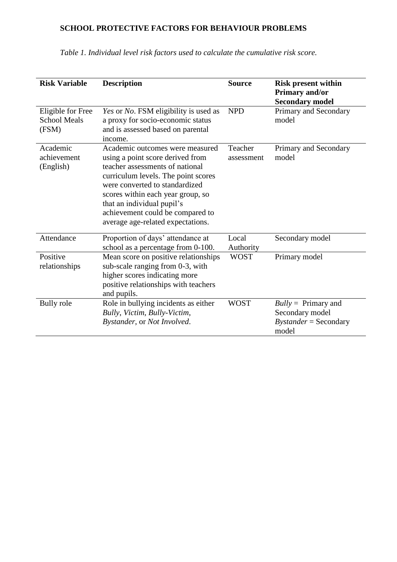| <b>Risk Variable</b>                              | <b>Description</b>                                                                                                                                                                                                                                                                                                          | <b>Source</b>         | <b>Risk present within</b><br>Primary and/or<br><b>Secondary model</b>       |
|---------------------------------------------------|-----------------------------------------------------------------------------------------------------------------------------------------------------------------------------------------------------------------------------------------------------------------------------------------------------------------------------|-----------------------|------------------------------------------------------------------------------|
| Eligible for Free<br><b>School Meals</b><br>(FSM) | Yes or No. FSM eligibility is used as<br>a proxy for socio-economic status<br>and is assessed based on parental<br>income.                                                                                                                                                                                                  | <b>NPD</b>            | Primary and Secondary<br>model                                               |
| Academic<br>achievement<br>(English)              | Academic outcomes were measured<br>using a point score derived from<br>teacher assessments of national<br>curriculum levels. The point scores<br>were converted to standardized<br>scores within each year group, so<br>that an individual pupil's<br>achievement could be compared to<br>average age-related expectations. | Teacher<br>assessment | Primary and Secondary<br>model                                               |
| Attendance                                        | Proportion of days' attendance at<br>school as a percentage from 0-100.                                                                                                                                                                                                                                                     | Local<br>Authority    | Secondary model                                                              |
| Positive<br>relationships                         | Mean score on positive relationships<br>sub-scale ranging from 0-3, with<br>higher scores indicating more<br>positive relationships with teachers<br>and pupils.                                                                                                                                                            | <b>WOST</b>           | Primary model                                                                |
| <b>Bully</b> role                                 | Role in bullying incidents as either<br>Bully, Victim, Bully-Victim,<br>Bystander, or Not Involved.                                                                                                                                                                                                                         | <b>WOST</b>           | $Bully = Primary$ and<br>Secondary model<br>$Bystander =$ Secondary<br>model |

*Table 1. Individual level risk factors used to calculate the cumulative risk score.*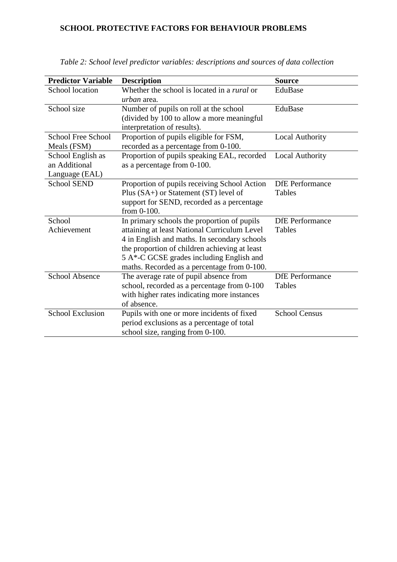| <b>Predictor Variable</b> | <b>Description</b>                                 | <b>Source</b>          |  |  |
|---------------------------|----------------------------------------------------|------------------------|--|--|
| School location           | Whether the school is located in a <i>rural</i> or | EduBase                |  |  |
|                           | <i>urban</i> area.                                 |                        |  |  |
| School size               | Number of pupils on roll at the school             | EduBase                |  |  |
|                           | (divided by 100 to allow a more meaningful         |                        |  |  |
|                           | interpretation of results).                        |                        |  |  |
| <b>School Free School</b> | Proportion of pupils eligible for FSM,             | <b>Local Authority</b> |  |  |
| Meals (FSM)               | recorded as a percentage from 0-100.               |                        |  |  |
| School English as         | Proportion of pupils speaking EAL, recorded        | <b>Local Authority</b> |  |  |
| an Additional             | as a percentage from 0-100.                        |                        |  |  |
| Language (EAL)            |                                                    |                        |  |  |
| <b>School SEND</b>        | Proportion of pupils receiving School Action       | <b>DfE</b> Performance |  |  |
|                           | Plus (SA+) or Statement (ST) level of              | Tables                 |  |  |
|                           | support for SEND, recorded as a percentage         |                        |  |  |
|                           | from $0-100$ .                                     |                        |  |  |
| School                    | In primary schools the proportion of pupils        | <b>DfE</b> Performance |  |  |
| Achievement               | attaining at least National Curriculum Level       | Tables                 |  |  |
|                           | 4 in English and maths. In secondary schools       |                        |  |  |
|                           | the proportion of children achieving at least      |                        |  |  |
|                           | 5 A*-C GCSE grades including English and           |                        |  |  |
|                           | maths. Recorded as a percentage from 0-100.        |                        |  |  |
| <b>School Absence</b>     | The average rate of pupil absence from             | <b>DfE</b> Performance |  |  |
|                           | school, recorded as a percentage from 0-100        | Tables                 |  |  |
|                           | with higher rates indicating more instances        |                        |  |  |
|                           | of absence.                                        |                        |  |  |
| <b>School Exclusion</b>   | Pupils with one or more incidents of fixed         | <b>School Census</b>   |  |  |
|                           | period exclusions as a percentage of total         |                        |  |  |
|                           | school size, ranging from 0-100.                   |                        |  |  |

*Table 2: School level predictor variables: descriptions and sources of data collection*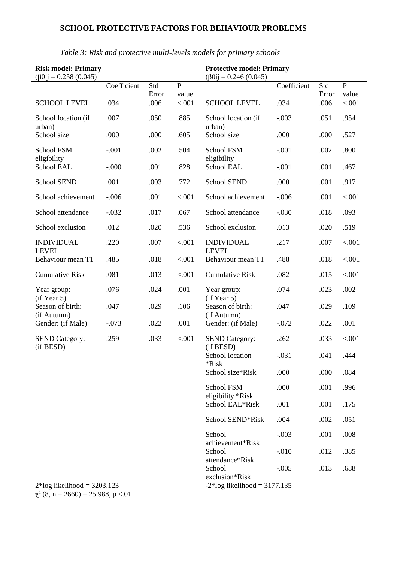| <b>Risk model: Primary</b><br>$(\beta 0$ ij = 0.258 (0.045) |             |              | <b>Protective model: Primary</b><br>$(\beta 0$ ij = 0.246 (0.045) |                                    |             |              |                         |
|-------------------------------------------------------------|-------------|--------------|-------------------------------------------------------------------|------------------------------------|-------------|--------------|-------------------------|
|                                                             | Coefficient | Std<br>Error | $\overline{P}$<br>value                                           |                                    | Coefficient | Std<br>Error | $\overline{P}$<br>value |
| <b>SCHOOL LEVEL</b>                                         | .034        | .006         | < .001                                                            | <b>SCHOOL LEVEL</b>                | .034        | .006         | < .001                  |
| School location (if<br>urban)                               | .007        | .050         | .885                                                              | School location (if<br>urban)      | $-.003$     | .051         | .954                    |
| School size                                                 | .000        | .000         | .605                                                              | School size                        | .000        | .000         | .527                    |
| School FSM<br>eligibility                                   | $-.001$     | .002         | .504                                                              | School FSM<br>eligibility          | $-.001$     | .002         | .800                    |
| School EAL                                                  | $-.000$     | .001         | .828                                                              | School EAL                         | $-.001$     | .001         | .467                    |
| <b>School SEND</b>                                          | .001        | .003         | .772                                                              | <b>School SEND</b>                 | .000        | .001         | .917                    |
| School achievement                                          | $-.006$     | .001         | < .001                                                            | School achievement                 | $-.006$     | .001         | < .001                  |
| School attendance                                           | $-.032$     | .017         | .067                                                              | School attendance                  | $-.030$     | .018         | .093                    |
| School exclusion                                            | .012        | .020         | .536                                                              | School exclusion                   | .013        | .020         | .519                    |
| <b>INDIVIDUAL</b><br><b>LEVEL</b>                           | .220        | .007         | < .001                                                            | <b>INDIVIDUAL</b><br><b>LEVEL</b>  | .217        | .007         | < .001                  |
| Behaviour mean T1                                           | .485        | .018         | < .001                                                            | Behaviour mean T1                  | .488        | .018         | < .001                  |
| <b>Cumulative Risk</b>                                      | .081        | .013         | < .001                                                            | <b>Cumulative Risk</b>             | .082        | .015         | < .001                  |
| Year group:<br>(if Year 5)                                  | .076        | .024         | .001                                                              | Year group:<br>(if Year 5)         | .074        | .023         | .002                    |
| Season of birth:<br>(if Autumn)<br>Gender: (if Male)        | .047        | .029         | .106                                                              | Season of birth:<br>(if Autumn)    | .047        | .029         | .109                    |
|                                                             | $-.073$     | .022         | .001                                                              | Gender: (if Male)                  | $-.072$     | .022         | .001                    |
| <b>SEND Category:</b><br>(if BESD)                          | .259        | .033         | < .001                                                            | <b>SEND Category:</b><br>(if BESD) | .262        | .033         | < .001                  |
|                                                             |             |              |                                                                   | School location<br>*Risk           | $-.031$     | .041         | .444                    |
|                                                             |             |              |                                                                   | School size*Risk                   | .000        | .000         | .084                    |
|                                                             |             |              |                                                                   | School FSM<br>eligibility *Risk    | .000        | .001         | .996                    |
|                                                             |             |              |                                                                   | School EAL*Risk                    | .001        | .001         | .175                    |
|                                                             |             |              |                                                                   | School SEND*Risk                   | .004        | .002         | .051                    |
|                                                             |             |              |                                                                   | School<br>achievement*Risk         | $-.003$     | .001         | .008                    |
|                                                             |             |              |                                                                   | School<br>attendance*Risk          | $-.010$     | .012         | .385                    |
|                                                             |             |              |                                                                   | School<br>exclusion*Risk           | $-.005$     | .013         | .688                    |
| $2*log$ likelihood = 3203.123                               |             |              | $-2*log$ likelihood = 3177.135                                    |                                    |             |              |                         |
| $\chi^2$ (8, n = 2660) = 25.988, p <.01                     |             |              |                                                                   |                                    |             |              |                         |

*Table 3: Risk and protective multi-levels models for primary schools*